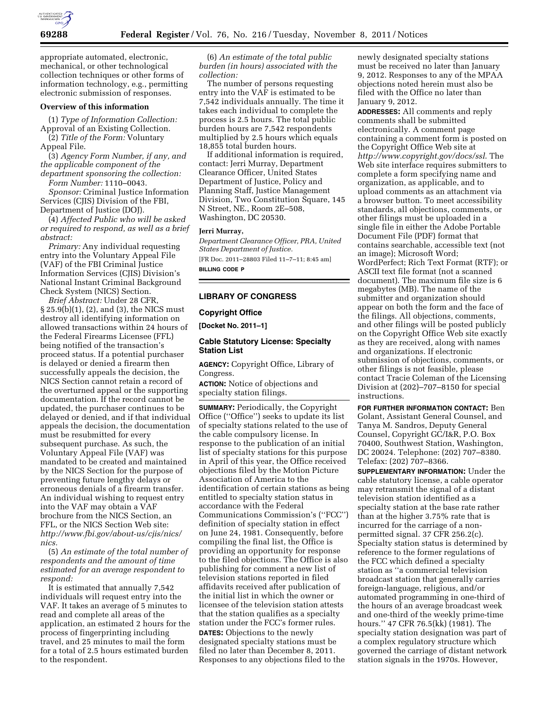

appropriate automated, electronic, mechanical, or other technological collection techniques or other forms of information technology, e.g., permitting electronic submission of responses.

### **Overview of this information**

(1) *Type of Information Collection:*  Approval of an Existing Collection.

(2) *Title of the Form:* Voluntary Appeal File.

(3) *Agency Form Number, if any, and the applicable component of the department sponsoring the collection: Form Number:* 1110–0043.

*Sponsor:* Criminal Justice Information Services (CJIS) Division of the FBI, Department of Justice (DOJ).

(4) *Affected Public who will be asked or required to respond, as well as a brief abstract:* 

*Primary:* Any individual requesting entry into the Voluntary Appeal File (VAF) of the FBI Criminal Justice Information Services (CJIS) Division's National Instant Criminal Background Check System (NICS) Section.

*Brief Abstract:* Under 28 CFR, § 25.9(b)(1), (2), and (3), the NICS must destroy all identifying information on allowed transactions within 24 hours of the Federal Firearms Licensee (FFL) being notified of the transaction's proceed status. If a potential purchaser is delayed or denied a firearm then successfully appeals the decision, the NICS Section cannot retain a record of the overturned appeal or the supporting documentation. If the record cannot be updated, the purchaser continues to be delayed or denied, and if that individual appeals the decision, the documentation must be resubmitted for every subsequent purchase. As such, the Voluntary Appeal File (VAF) was mandated to be created and maintained by the NICS Section for the purpose of preventing future lengthy delays or erroneous denials of a firearm transfer. An individual wishing to request entry into the VAF may obtain a VAF brochure from the NICS Section, an FFL, or the NICS Section Web site: *[http://www.fbi.gov/about-us/cjis/nics/](http://www.fbi.gov/about-us/cjis/nics/nics)  [nics.](http://www.fbi.gov/about-us/cjis/nics/nics)* 

(5) *An estimate of the total number of respondents and the amount of time estimated for an average respondent to respond:* 

It is estimated that annually 7,542 individuals will request entry into the VAF. It takes an average of 5 minutes to read and complete all areas of the application, an estimated 2 hours for the process of fingerprinting including travel, and 25 minutes to mail the form for a total of 2.5 hours estimated burden to the respondent.

(6) *An estimate of the total public burden (in hours) associated with the collection:* 

The number of persons requesting entry into the VAF is estimated to be 7,542 individuals annually. The time it takes each individual to complete the process is 2.5 hours. The total public burden hours are 7,542 respondents multiplied by 2.5 hours which equals 18,855 total burden hours.

If additional information is required, contact: Jerri Murray, Department Clearance Officer, United States Department of Justice, Policy and Planning Staff, Justice Management Division, Two Constitution Square, 145 N Street, NE., Room 2E–508, Washington, DC 20530.

#### **Jerri Murray,**

*Department Clearance Officer, PRA, United States Department of Justice.*  [FR Doc. 2011–28803 Filed 11–7–11; 8:45 am]

**BILLING CODE P** 

## **LIBRARY OF CONGRESS**

#### **Copyright Office**

**[Docket No. 2011–1]** 

### **Cable Statutory License: Specialty Station List**

**AGENCY:** Copyright Office, Library of Congress.

**ACTION:** Notice of objections and specialty station filings.

**SUMMARY:** Periodically, the Copyright Office (''Office'') seeks to update its list of specialty stations related to the use of the cable compulsory license. In response to the publication of an initial list of specialty stations for this purpose in April of this year, the Office received objections filed by the Motion Picture Association of America to the identification of certain stations as being entitled to specialty station status in accordance with the Federal Communications Commission's (''FCC'') definition of specialty station in effect on June 24, 1981. Consequently, before compiling the final list, the Office is providing an opportunity for response to the filed objections. The Office is also publishing for comment a new list of television stations reported in filed affidavits received after publication of the initial list in which the owner or licensee of the television station attests that the station qualifies as a specialty station under the FCC's former rules. **DATES:** Objections to the newly designated specialty stations must be filed no later than December 8, 2011. Responses to any objections filed to the

newly designated specialty stations must be received no later than January 9, 2012. Responses to any of the MPAA objections noted herein must also be filed with the Office no later than January 9, 2012.

**ADDRESSES:** All comments and reply comments shall be submitted electronically. A comment page containing a comment form is posted on the Copyright Office Web site at *<http://www.copyright.gov/docs/ssl>*. The Web site interface requires submitters to complete a form specifying name and organization, as applicable, and to upload comments as an attachment via a browser button. To meet accessibility standards, all objections, comments, or other filings must be uploaded in a single file in either the Adobe Portable Document File (PDF) format that contains searchable, accessible text (not an image); Microsoft Word; WordPerfect; Rich Text Format (RTF); or ASCII text file format (not a scanned document). The maximum file size is 6 megabytes (MB). The name of the submitter and organization should appear on both the form and the face of the filings. All objections, comments, and other filings will be posted publicly on the Copyright Office Web site exactly as they are received, along with names and organizations. If electronic submission of objections, comments, or other filings is not feasible, please contact Tracie Coleman of the Licensing Division at (202)–707–8150 for special instructions.

**FOR FURTHER INFORMATION CONTACT:** Ben Golant, Assistant General Counsel, and Tanya M. Sandros, Deputy General Counsel, Copyright GC/I&R, P.O. Box 70400, Southwest Station, Washington, DC 20024. Telephone: (202) 707–8380. Telefax: (202) 707–8366.

**SUPPLEMENTARY INFORMATION:** Under the cable statutory license, a cable operator may retransmit the signal of a distant television station identified as a specialty station at the base rate rather than at the higher 3.75% rate that is incurred for the carriage of a nonpermitted signal. 37 CFR 256.2(c). Specialty station status is determined by reference to the former regulations of the FCC which defined a specialty station as ''a commercial television broadcast station that generally carries foreign-language, religious, and/or automated programming in one-third of the hours of an average broadcast week and one-third of the weekly prime-time hours.'' 47 CFR 76.5(kk) (1981). The specialty station designation was part of a complex regulatory structure which governed the carriage of distant network station signals in the 1970s. However,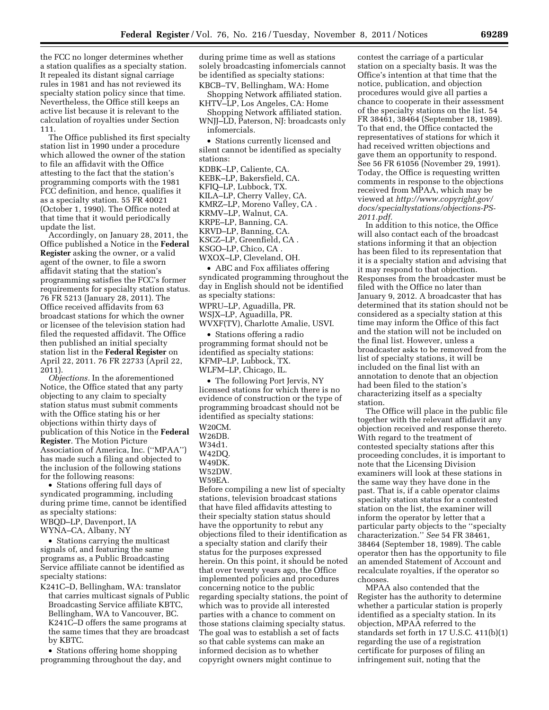the FCC no longer determines whether a station qualifies as a specialty station. It repealed its distant signal carriage rules in 1981 and has not reviewed its specialty station policy since that time. Nevertheless, the Office still keeps an active list because it is relevant to the calculation of royalties under Section 111.

The Office published its first specialty station list in 1990 under a procedure which allowed the owner of the station to file an affidavit with the Office attesting to the fact that the station's programming comports with the 1981 FCC definition, and hence, qualifies it as a specialty station. 55 FR 40021 (October 1, 1990). The Office noted at that time that it would periodically update the list.

Accordingly, on January 28, 2011, the Office published a Notice in the **Federal Register** asking the owner, or a valid agent of the owner, to file a sworn affidavit stating that the station's programming satisfies the FCC's former requirements for specialty station status. 76 FR 5213 (January 28, 2011). The Office received affidavits from 63 broadcast stations for which the owner or licensee of the television station had filed the requested affidavit. The Office then published an initial specialty station list in the **Federal Register** on April 22, 2011. 76 FR 22733 (April 22, 2011).

*Objections.* In the aforementioned Notice, the Office stated that any party objecting to any claim to specialty station status must submit comments with the Office stating his or her objections within thirty days of publication of this Notice in the **Federal Register**. The Motion Picture Association of America, Inc. (''MPAA'') has made such a filing and objected to the inclusion of the following stations for the following reasons:

• Stations offering full days of syndicated programming, including during prime time, cannot be identified as specialty stations: WBQD–LP, Davenport, IA

WYNA–CA, Albany, NY

• Stations carrying the multicast signals of, and featuring the same programs as, a Public Broadcasting Service affiliate cannot be identified as specialty stations:

K241C–D, Bellingham, WA: translator that carries multicast signals of Public Broadcasting Service affiliate KBTC, Bellingham, WA to Vancouver, BC. K241C–D offers the same programs at the same times that they are broadcast by KBTC.

• Stations offering home shopping programming throughout the day, and during prime time as well as stations solely broadcasting infomercials cannot be identified as specialty stations: KBCB–TV, Bellingham, WA: Home

Shopping Network affiliated station. KHTV–LP, Los Angeles, CA: Home

Shopping Network affiliated station. WNJJ–LD, Paterson, NJ: broadcasts only

infomercials.

• Stations currently licensed and silent cannot be identified as specialty stations:

KDBK–LP, Caliente, CA. KEBK–LP, Bakersfield, CA. KFIQ–LP, Lubbock, TX. KILA–LP, Cherry Valley, CA. KMRZ–LP, Moreno Valley, CA . KRMV–LP, Walnut, CA. KRPE–LP, Banning, CA. KRVD–LP, Banning, CA. KSCZ–LP, Greenfield, CA . KSGO–LP, Chico, CA .

WXOX–LP, Cleveland, OH.

• ABC and Fox affiliates offering syndicated programming throughout the day in English should not be identified as specialty stations:

WPRU–LP, Aguadilla, PR.

WSJX–LP, Aguadilla, PR.

WVXF(TV), Charlotte Amalie, USVI. • Stations offering a radio programming format should not be identified as specialty stations: KFMP–LP, Lubbock, TX.

WLFM–LP, Chicago, IL.

• The following Port Jervis, NY licensed stations for which there is no evidence of construction or the type of programming broadcast should not be identified as specialty stations:

W20CM. W26DB.

W34d1.

W42DQ.

W49DK.

W52DW.

W59EA.

Before compiling a new list of specialty stations, television broadcast stations that have filed affidavits attesting to their specialty station status should have the opportunity to rebut any objections filed to their identification as a specialty station and clarify their status for the purposes expressed herein. On this point, it should be noted that over twenty years ago, the Office implemented policies and procedures concerning notice to the public regarding specialty stations, the point of which was to provide all interested parties with a chance to comment on those stations claiming specialty status. The goal was to establish a set of facts so that cable systems can make an informed decision as to whether copyright owners might continue to

contest the carriage of a particular station on a specialty basis. It was the Office's intention at that time that the notice, publication, and objection procedures would give all parties a chance to cooperate in their assessment of the specialty stations on the list. 54 FR 38461, 38464 (September 18, 1989). To that end, the Office contacted the representatives of stations for which it had received written objections and gave them an opportunity to respond. See 56 FR 61056 (November 29, 1991). Today, the Office is requesting written comments in response to the objections received from MPAA, which may be viewed at *[http://www.copyright.gov/](http://www.copyright.gov/docs/specialtystations/objections-PS-2011.pdf) [docs/specialtystations/objections-PS-](http://www.copyright.gov/docs/specialtystations/objections-PS-2011.pdf)[2011.pdf.](http://www.copyright.gov/docs/specialtystations/objections-PS-2011.pdf)* 

In addition to this notice, the Office will also contact each of the broadcast stations informing it that an objection has been filed to its representation that it is a specialty station and advising that it may respond to that objection. Responses from the broadcaster must be filed with the Office no later than January 9, 2012. A broadcaster that has determined that its station should not be considered as a specialty station at this time may inform the Office of this fact and the station will not be included on the final list. However, unless a broadcaster asks to be removed from the list of specialty stations, it will be included on the final list with an annotation to denote that an objection had been filed to the station's characterizing itself as a specialty station.

The Office will place in the public file together with the relevant affidavit any objection received and response thereto. With regard to the treatment of contested specialty stations after this proceeding concludes, it is important to note that the Licensing Division examiners will look at these stations in the same way they have done in the past. That is, if a cable operator claims specialty station status for a contested station on the list, the examiner will inform the operator by letter that a particular party objects to the ''specialty characterization.'' *See* 54 FR 38461, 38464 (September 18, 1989). The cable operator then has the opportunity to file an amended Statement of Account and recalculate royalties, if the operator so chooses.

MPAA also contended that the Register has the authority to determine whether a particular station is properly identified as a specialty station. In its objection, MPAA referred to the standards set forth in 17 U.S.C. 411(b)(1) regarding the use of a registration certificate for purposes of filing an infringement suit, noting that the